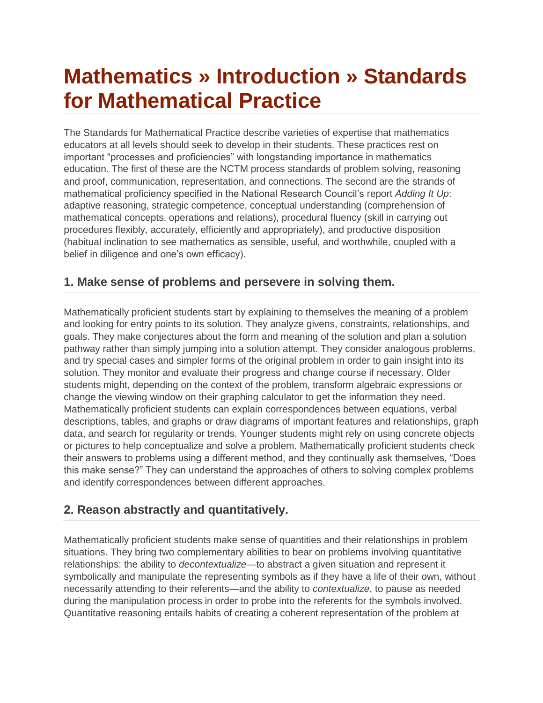# **Mathematics » Introduction » Standards for Mathematical Practice**

The Standards for Mathematical Practice describe varieties of expertise that mathematics educators at all levels should seek to develop in their students. These practices rest on important "processes and proficiencies" with longstanding importance in mathematics education. The first of these are the NCTM process standards of problem solving, reasoning and proof, communication, representation, and connections. The second are the strands of mathematical proficiency specified in the National Research Council's report *Adding It Up*: adaptive reasoning, strategic competence, conceptual understanding (comprehension of mathematical concepts, operations and relations), procedural fluency (skill in carrying out procedures flexibly, accurately, efficiently and appropriately), and productive disposition (habitual inclination to see mathematics as sensible, useful, and worthwhile, coupled with a belief in diligence and one's own efficacy).

# **1. Make sense of problems and persevere in solving them.**

Mathematically proficient students start by explaining to themselves the meaning of a problem and looking for entry points to its solution. They analyze givens, constraints, relationships, and goals. They make conjectures about the form and meaning of the solution and plan a solution pathway rather than simply jumping into a solution attempt. They consider analogous problems, and try special cases and simpler forms of the original problem in order to gain insight into its solution. They monitor and evaluate their progress and change course if necessary. Older students might, depending on the context of the problem, transform algebraic expressions or change the viewing window on their graphing calculator to get the information they need. Mathematically proficient students can explain correspondences between equations, verbal descriptions, tables, and graphs or draw diagrams of important features and relationships, graph data, and search for regularity or trends. Younger students might rely on using concrete objects or pictures to help conceptualize and solve a problem. Mathematically proficient students check their answers to problems using a different method, and they continually ask themselves, "Does this make sense?" They can understand the approaches of others to solving complex problems and identify correspondences between different approaches.

## **2. Reason abstractly and quantitatively.**

Mathematically proficient students make sense of quantities and their relationships in problem situations. They bring two complementary abilities to bear on problems involving quantitative relationships: the ability to *decontextualize*—to abstract a given situation and represent it symbolically and manipulate the representing symbols as if they have a life of their own, without necessarily attending to their referents—and the ability to *contextualize*, to pause as needed during the manipulation process in order to probe into the referents for the symbols involved. Quantitative reasoning entails habits of creating a coherent representation of the problem at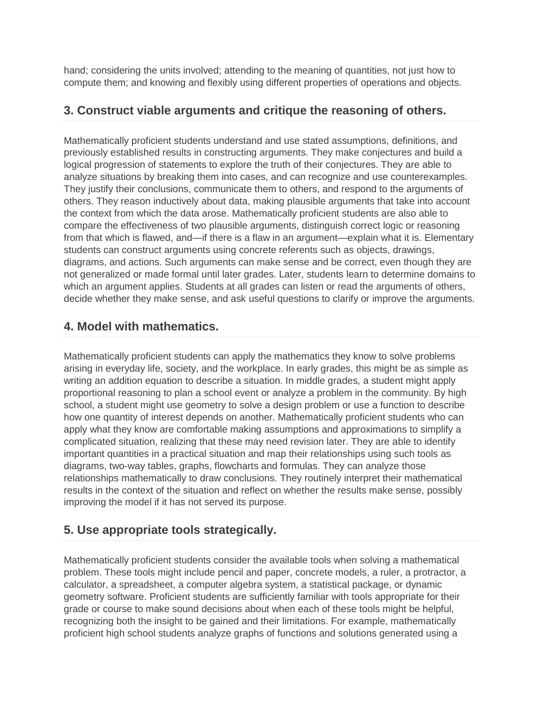hand; considering the units involved; attending to the meaning of quantities, not just how to compute them; and knowing and flexibly using different properties of operations and objects.

#### **3. Construct viable arguments and critique the reasoning of others.**

Mathematically proficient students understand and use stated assumptions, definitions, and previously established results in constructing arguments. They make conjectures and build a logical progression of statements to explore the truth of their conjectures. They are able to analyze situations by breaking them into cases, and can recognize and use counterexamples. They justify their conclusions, communicate them to others, and respond to the arguments of others. They reason inductively about data, making plausible arguments that take into account the context from which the data arose. Mathematically proficient students are also able to compare the effectiveness of two plausible arguments, distinguish correct logic or reasoning from that which is flawed, and—if there is a flaw in an argument—explain what it is. Elementary students can construct arguments using concrete referents such as objects, drawings, diagrams, and actions. Such arguments can make sense and be correct, even though they are not generalized or made formal until later grades. Later, students learn to determine domains to which an argument applies. Students at all grades can listen or read the arguments of others, decide whether they make sense, and ask useful questions to clarify or improve the arguments.

# **4. Model with mathematics.**

Mathematically proficient students can apply the mathematics they know to solve problems arising in everyday life, society, and the workplace. In early grades, this might be as simple as writing an addition equation to describe a situation. In middle grades, a student might apply proportional reasoning to plan a school event or analyze a problem in the community. By high school, a student might use geometry to solve a design problem or use a function to describe how one quantity of interest depends on another. Mathematically proficient students who can apply what they know are comfortable making assumptions and approximations to simplify a complicated situation, realizing that these may need revision later. They are able to identify important quantities in a practical situation and map their relationships using such tools as diagrams, two-way tables, graphs, flowcharts and formulas. They can analyze those relationships mathematically to draw conclusions. They routinely interpret their mathematical results in the context of the situation and reflect on whether the results make sense, possibly improving the model if it has not served its purpose.

## **5. Use appropriate tools strategically.**

Mathematically proficient students consider the available tools when solving a mathematical problem. These tools might include pencil and paper, concrete models, a ruler, a protractor, a calculator, a spreadsheet, a computer algebra system, a statistical package, or dynamic geometry software. Proficient students are sufficiently familiar with tools appropriate for their grade or course to make sound decisions about when each of these tools might be helpful, recognizing both the insight to be gained and their limitations. For example, mathematically proficient high school students analyze graphs of functions and solutions generated using a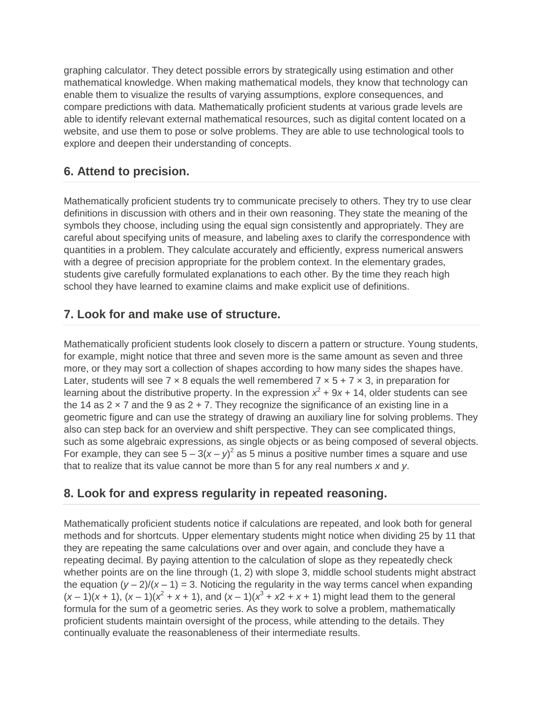graphing calculator. They detect possible errors by strategically using estimation and other mathematical knowledge. When making mathematical models, they know that technology can enable them to visualize the results of varying assumptions, explore consequences, and compare predictions with data. Mathematically proficient students at various grade levels are able to identify relevant external mathematical resources, such as digital content located on a website, and use them to pose or solve problems. They are able to use technological tools to explore and deepen their understanding of concepts.

#### **6. Attend to precision.**

Mathematically proficient students try to communicate precisely to others. They try to use clear definitions in discussion with others and in their own reasoning. They state the meaning of the symbols they choose, including using the equal sign consistently and appropriately. They are careful about specifying units of measure, and labeling axes to clarify the correspondence with quantities in a problem. They calculate accurately and efficiently, express numerical answers with a degree of precision appropriate for the problem context. In the elementary grades, students give carefully formulated explanations to each other. By the time they reach high school they have learned to examine claims and make explicit use of definitions.

#### **7. Look for and make use of structure.**

Mathematically proficient students look closely to discern a pattern or structure. Young students, for example, might notice that three and seven more is the same amount as seven and three more, or they may sort a collection of shapes according to how many sides the shapes have. Later, students will see 7  $\times$  8 equals the well remembered 7  $\times$  5 + 7  $\times$  3, in preparation for learning about the distributive property. In the expression  $x^2 + 9x + 14$ , older students can see the 14 as  $2 \times 7$  and the 9 as  $2 + 7$ . They recognize the significance of an existing line in a geometric figure and can use the strategy of drawing an auxiliary line for solving problems. They also can step back for an overview and shift perspective. They can see complicated things, such as some algebraic expressions, as single objects or as being composed of several objects. For example, they can see  $5 - 3(x - y)^2$  as 5 minus a positive number times a square and use that to realize that its value cannot be more than 5 for any real numbers *x* and *y*.

## **8. Look for and express regularity in repeated reasoning.**

Mathematically proficient students notice if calculations are repeated, and look both for general methods and for shortcuts. Upper elementary students might notice when dividing 25 by 11 that they are repeating the same calculations over and over again, and conclude they have a repeating decimal. By paying attention to the calculation of slope as they repeatedly check whether points are on the line through (1, 2) with slope 3, middle school students might abstract the equation  $(y - 2)/(x - 1) = 3$ . Noticing the regularity in the way terms cancel when expanding  $(x-1)(x+1)$ ,  $(x-1)(x^2 + x + 1)$ , and  $(x-1)(x^3 + x^2 + x + 1)$  might lead them to the general formula for the sum of a geometric series. As they work to solve a problem, mathematically proficient students maintain oversight of the process, while attending to the details. They continually evaluate the reasonableness of their intermediate results.